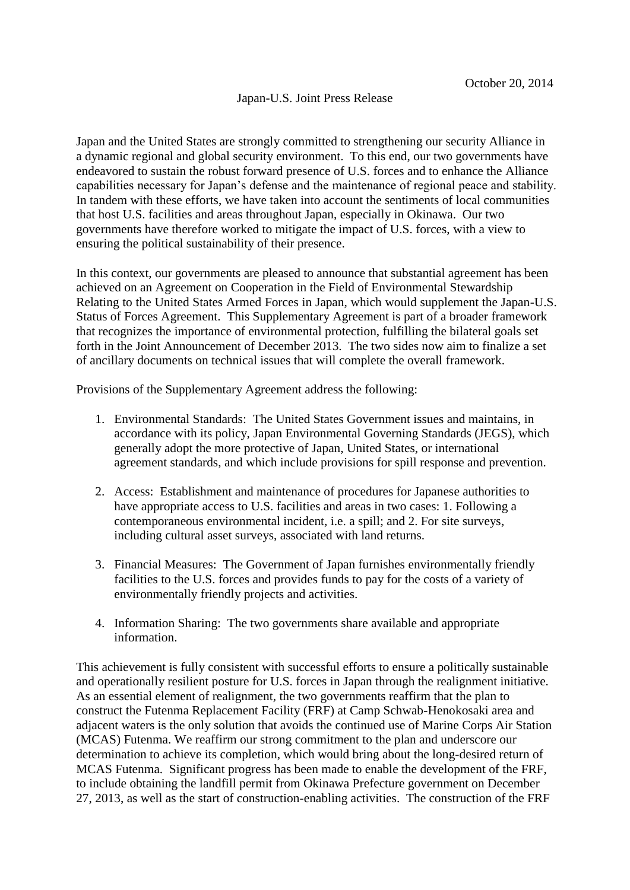## Japan-U.S. Joint Press Release

Japan and the United States are strongly committed to strengthening our security Alliance in a dynamic regional and global security environment. To this end, our two governments have endeavored to sustain the robust forward presence of U.S. forces and to enhance the Alliance capabilities necessary for Japan's defense and the maintenance of regional peace and stability. In tandem with these efforts, we have taken into account the sentiments of local communities that host U.S. facilities and areas throughout Japan, especially in Okinawa. Our two governments have therefore worked to mitigate the impact of U.S. forces, with a view to ensuring the political sustainability of their presence.

In this context, our governments are pleased to announce that substantial agreement has been achieved on an Agreement on Cooperation in the Field of Environmental Stewardship Relating to the United States Armed Forces in Japan, which would supplement the Japan-U.S. Status of Forces Agreement. This Supplementary Agreement is part of a broader framework that recognizes the importance of environmental protection, fulfilling the bilateral goals set forth in the Joint Announcement of December 2013. The two sides now aim to finalize a set of ancillary documents on technical issues that will complete the overall framework.

Provisions of the Supplementary Agreement address the following:

- 1. Environmental Standards: The United States Government issues and maintains, in accordance with its policy, Japan Environmental Governing Standards (JEGS), which generally adopt the more protective of Japan, United States, or international agreement standards, and which include provisions for spill response and prevention.
- 2. Access: Establishment and maintenance of procedures for Japanese authorities to have appropriate access to U.S. facilities and areas in two cases: 1. Following a contemporaneous environmental incident, i.e. a spill; and 2. For site surveys, including cultural asset surveys, associated with land returns.
- 3. Financial Measures: The Government of Japan furnishes environmentally friendly facilities to the U.S. forces and provides funds to pay for the costs of a variety of environmentally friendly projects and activities.
- 4. Information Sharing: The two governments share available and appropriate information.

This achievement is fully consistent with successful efforts to ensure a politically sustainable and operationally resilient posture for U.S. forces in Japan through the realignment initiative. As an essential element of realignment, the two governments reaffirm that the plan to construct the Futenma Replacement Facility (FRF) at Camp Schwab-Henokosaki area and adjacent waters is the only solution that avoids the continued use of Marine Corps Air Station (MCAS) Futenma. We reaffirm our strong commitment to the plan and underscore our determination to achieve its completion, which would bring about the long-desired return of MCAS Futenma. Significant progress has been made to enable the development of the FRF, to include obtaining the landfill permit from Okinawa Prefecture government on December 27, 2013, as well as the start of construction-enabling activities. The construction of the FRF